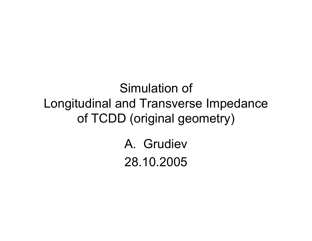Simulation of Longitudinal and Transverse Impedance of TCDD (original geometry)

> A. Grudiev28.10.2005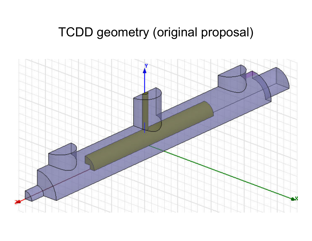# TCDD geometry (original proposal)

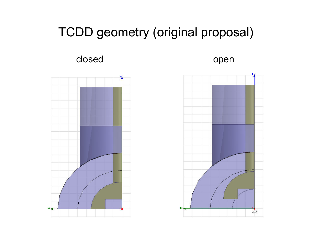## TCDD geometry (original proposal)

closed

open



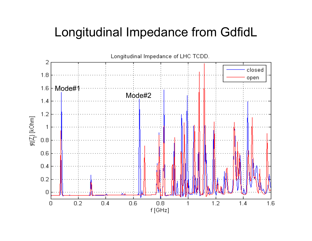### Longitudinal Impedance from GdfidL

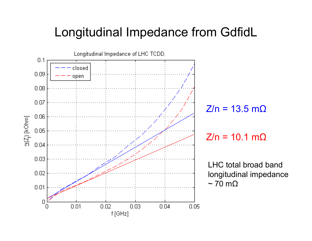#### Longitudinal Impedance from GdfidL

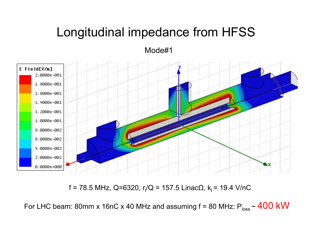## Longitudinal impedance from HFSS

Mode#1



f = 78.5 MHz, Q=6320, r<sub>l</sub>/Q = 157.5 LinacΩ, k<sub>l</sub> = 19.4 V/nC

For LHC beam: 80mm x 16nC x 40 MHz and assuming f = 80 MHz: P $_{\rm loss}$  ~  $400$   $\rm kW$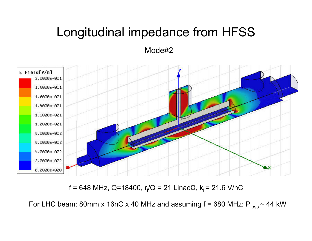## Longitudinal impedance from HFSS

Mode#2



f = 648 MHz, Q=18400, r<sub>l</sub>/Q = 21 LinacΩ, k<sub>l</sub> = 21.6 V/nC

For LHC beam: 80mm x 16nC x 40 MHz and assuming f = 680 MHz:  $\mathsf{P}_{\mathsf{loss}}\mathtt{\sim}$  44 kW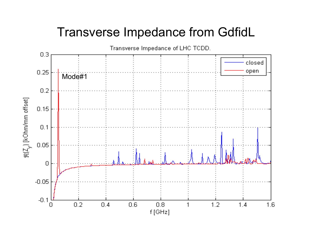### Transverse Impedance from GdfidL

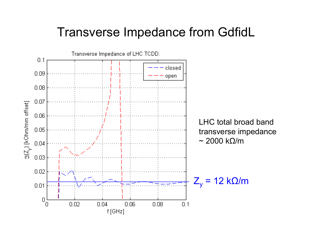#### Transverse Impedance from GdfidL

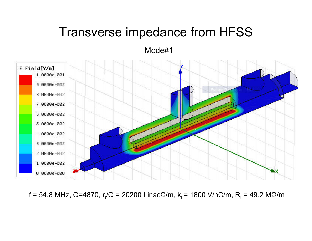#### Transverse impedance from HFSS

Mode#1



f = 54.8 MHz, Q=4870, r<sub>t</sub>/Q = 20200 LinacΩ/m, k<sub>t</sub> = 1800 V/nC/m, R<sub>t</sub> = 49.2 MΩ/m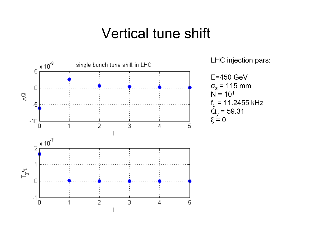### Vertical tune shift

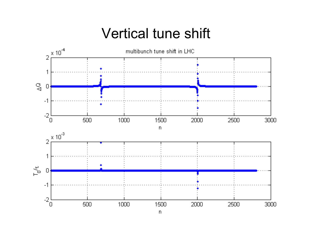# Vertical tune shift